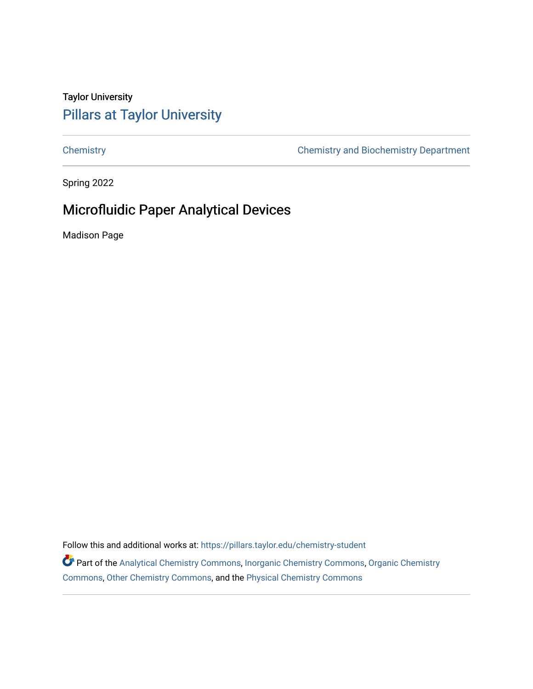# Taylor University [Pillars at Taylor University](https://pillars.taylor.edu/)

[Chemistry](https://pillars.taylor.edu/chemistry-student) [Chemistry and Biochemistry Department](https://pillars.taylor.edu/chemistry) 

Spring 2022

# Microfluidic Paper Analytical Devices

Madison Page

Follow this and additional works at: https://pillars.taylor.edu/chemistry-student

Part of the [Analytical Chemistry Commons,](https://network.bepress.com/hgg/discipline/132?utm_source=pillars.taylor.edu%2Fchemistry-student%2F24&utm_medium=PDF&utm_campaign=PDFCoverPages) [Inorganic Chemistry Commons,](https://network.bepress.com/hgg/discipline/137?utm_source=pillars.taylor.edu%2Fchemistry-student%2F24&utm_medium=PDF&utm_campaign=PDFCoverPages) [Organic Chemistry](https://network.bepress.com/hgg/discipline/138?utm_source=pillars.taylor.edu%2Fchemistry-student%2F24&utm_medium=PDF&utm_campaign=PDFCoverPages) [Commons](https://network.bepress.com/hgg/discipline/138?utm_source=pillars.taylor.edu%2Fchemistry-student%2F24&utm_medium=PDF&utm_campaign=PDFCoverPages), [Other Chemistry Commons](https://network.bepress.com/hgg/discipline/141?utm_source=pillars.taylor.edu%2Fchemistry-student%2F24&utm_medium=PDF&utm_campaign=PDFCoverPages), and the [Physical Chemistry Commons](https://network.bepress.com/hgg/discipline/139?utm_source=pillars.taylor.edu%2Fchemistry-student%2F24&utm_medium=PDF&utm_campaign=PDFCoverPages)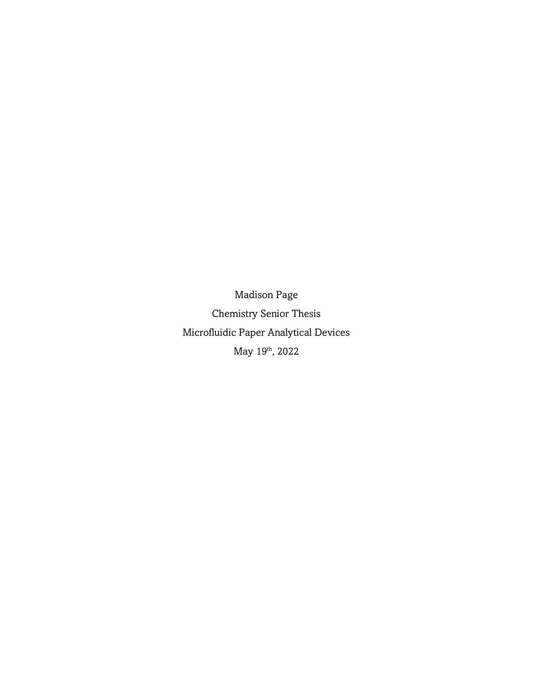Madison Page Chemistry Senior Thesis Microfluidic Paper Analytical Devices May 19<sup>th</sup>, 2022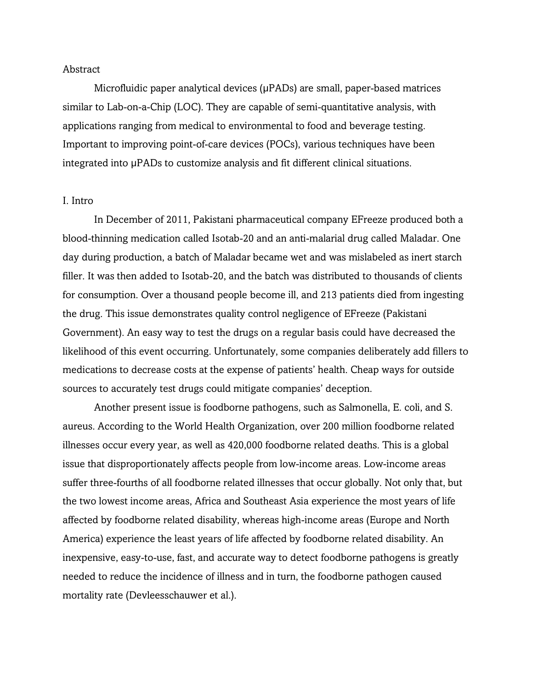#### Abstract

Microfluidic paper analytical devices (µPADs) are small, paper-based matrices similar to Lab-on-a-Chip (LOC). They are capable of semi-quantitative analysis, with applications ranging from medical to environmental to food and beverage testing. Important to improving point-of-care devices (POCs), various techniques have been integrated into µPADs to customize analysis and fit different clinical situations.

### I. Intro

In December of 2011, Pakistani pharmaceutical company EFreeze produced both a blood-thinning medication called Isotab-20 and an anti-malarial drug called Maladar. One day during production, a batch of Maladar became wet and was mislabeled as inert starch filler. It was then added to Isotab-20, and the batch was distributed to thousands of clients for consumption. Over a thousand people become ill, and 213 patients died from ingesting the drug. This issue demonstrates quality control negligence of EFreeze (Pakistani Government). An easy way to test the drugs on a regular basis could have decreased the likelihood of this event occurring. Unfortunately, some companies deliberately add fillers to medications to decrease costs at the expense of patients' health. Cheap ways for outside sources to accurately test drugs could mitigate companies' deception.

Another present issue is foodborne pathogens, such as Salmonella, E. coli, and S. aureus. According to the World Health Organization, over 200 million foodborne related illnesses occur every year, as well as 420,000 foodborne related deaths. This is a global issue that disproportionately affects people from low-income areas. Low-income areas suffer three-fourths of all foodborne related illnesses that occur globally. Not only that, but the two lowest income areas, Africa and Southeast Asia experience the most years of life affected by foodborne related disability, whereas high-income areas (Europe and North America) experience the least years of life affected by foodborne related disability. An inexpensive, easy-to-use, fast, and accurate way to detect foodborne pathogens is greatly needed to reduce the incidence of illness and in turn, the foodborne pathogen caused mortality rate (Devleesschauwer et al.).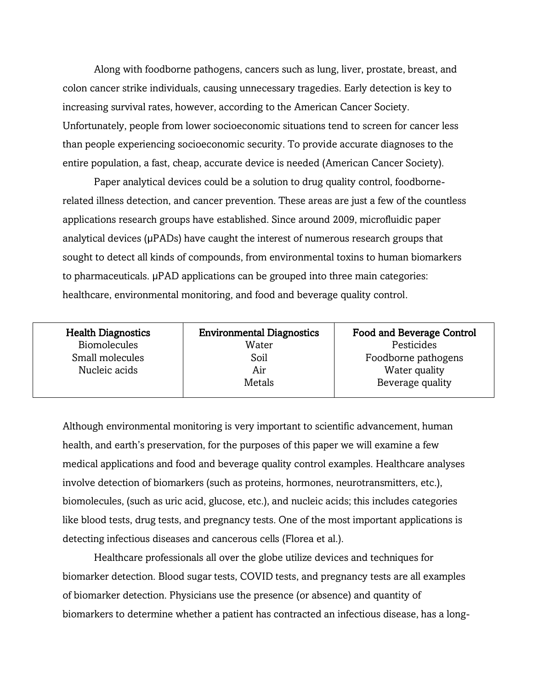Along with foodborne pathogens, cancers such as lung, liver, prostate, breast, and colon cancer strike individuals, causing unnecessary tragedies. Early detection is key to increasing survival rates, however, according to the American Cancer Society. Unfortunately, people from lower socioeconomic situations tend to screen for cancer less than people experiencing socioeconomic security. To provide accurate diagnoses to the entire population, a fast, cheap, accurate device is needed (American Cancer Society).

Paper analytical devices could be a solution to drug quality control, foodbornerelated illness detection, and cancer prevention. These areas are just a few of the countless applications research groups have established. Since around 2009, microfluidic paper analytical devices (µPADs) have caught the interest of numerous research groups that sought to detect all kinds of compounds, from environmental toxins to human biomarkers to pharmaceuticals. µPAD applications can be grouped into three main categories: healthcare, environmental monitoring, and food and beverage quality control.

| <b>Health Diagnostics</b><br><b>Biomolecules</b> | <b>Environmental Diagnostics</b><br>Water | <b>Food and Beverage Control</b><br>Pesticides |
|--------------------------------------------------|-------------------------------------------|------------------------------------------------|
| Small molecules                                  | Soil                                      | Foodborne pathogens                            |
| Nucleic acids                                    | Air                                       | Water quality                                  |
|                                                  | Metals                                    | Beverage quality                               |
|                                                  |                                           |                                                |

Although environmental monitoring is very important to scientific advancement, human health, and earth's preservation, for the purposes of this paper we will examine a few medical applications and food and beverage quality control examples. Healthcare analyses involve detection of biomarkers (such as proteins, hormones, neurotransmitters, etc.), biomolecules, (such as uric acid, glucose, etc.), and nucleic acids; this includes categories like blood tests, drug tests, and pregnancy tests. One of the most important applications is detecting infectious diseases and cancerous cells (Florea et al.).

Healthcare professionals all over the globe utilize devices and techniques for biomarker detection. Blood sugar tests, COVID tests, and pregnancy tests are all examples of biomarker detection. Physicians use the presence (or absence) and quantity of biomarkers to determine whether a patient has contracted an infectious disease, has a long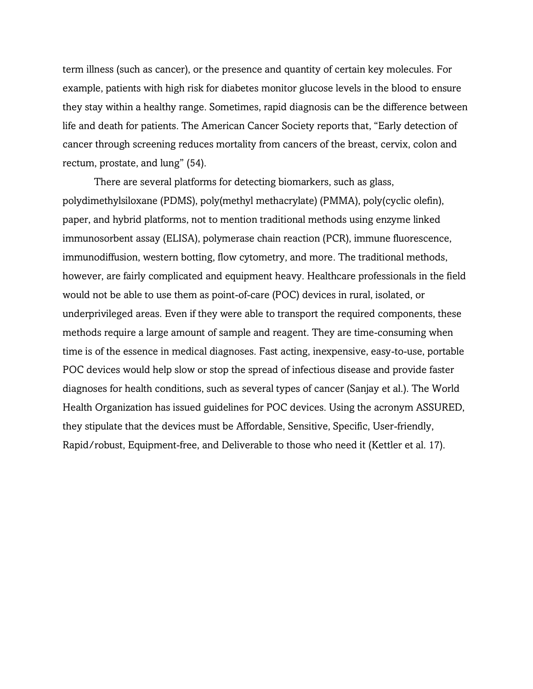term illness (such as cancer), or the presence and quantity of certain key molecules. For example, patients with high risk for diabetes monitor glucose levels in the blood to ensure they stay within a healthy range. Sometimes, rapid diagnosis can be the difference between life and death for patients. The American Cancer Society reports that, "Early detection of cancer through screening reduces mortality from cancers of the breast, cervix, colon and rectum, prostate, and lung" (54).

There are several platforms for detecting biomarkers, such as glass, polydimethylsiloxane (PDMS), poly(methyl methacrylate) (PMMA), poly(cyclic olefin), paper, and hybrid platforms, not to mention traditional methods using enzyme linked immunosorbent assay (ELISA), polymerase chain reaction (PCR), immune fluorescence, immunodiffusion, western botting, flow cytometry, and more. The traditional methods, however, are fairly complicated and equipment heavy. Healthcare professionals in the field would not be able to use them as point-of-care (POC) devices in rural, isolated, or underprivileged areas. Even if they were able to transport the required components, these methods require a large amount of sample and reagent. They are time-consuming when time is of the essence in medical diagnoses. Fast acting, inexpensive, easy-to-use, portable POC devices would help slow or stop the spread of infectious disease and provide faster diagnoses for health conditions, such as several types of cancer (Sanjay et al.). The World Health Organization has issued guidelines for POC devices. Using the acronym ASSURED, they stipulate that the devices must be Affordable, Sensitive, Specific, User-friendly, Rapid/robust, Equipment-free, and Deliverable to those who need it (Kettler et al. 17).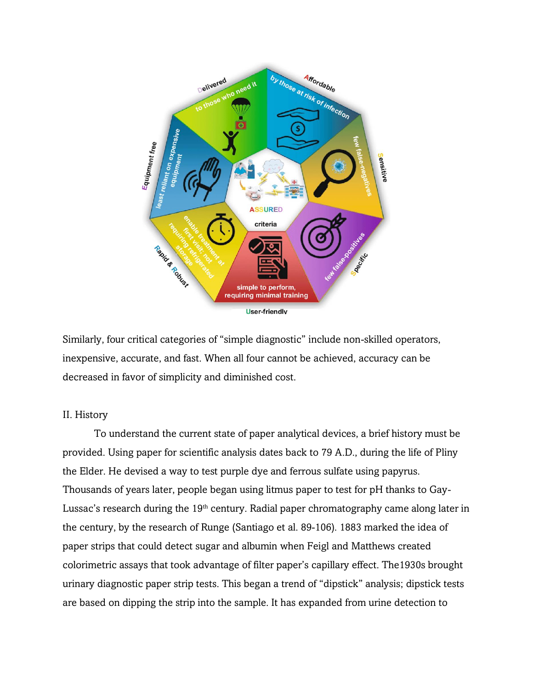

Similarly, four critical categories of "simple diagnostic" include non-skilled operators, inexpensive, accurate, and fast. When all four cannot be achieved, accuracy can be decreased in favor of simplicity and diminished cost.

## II. History

To understand the current state of paper analytical devices, a brief history must be provided. Using paper for scientific analysis dates back to 79 A.D., during the life of Pliny the Elder. He devised a way to test purple dye and ferrous sulfate using papyrus. Thousands of years later, people began using litmus paper to test for pH thanks to Gay-Lussac's research during the 19<sup>th</sup> century. Radial paper chromatography came along later in the century, by the research of Runge (Santiago et al. 89-106). 1883 marked the idea of paper strips that could detect sugar and albumin when Feigl and Matthews created colorimetric assays that took advantage of filter paper's capillary effect. The1930s brought urinary diagnostic paper strip tests. This began a trend of "dipstick" analysis; dipstick tests are based on dipping the strip into the sample. It has expanded from urine detection to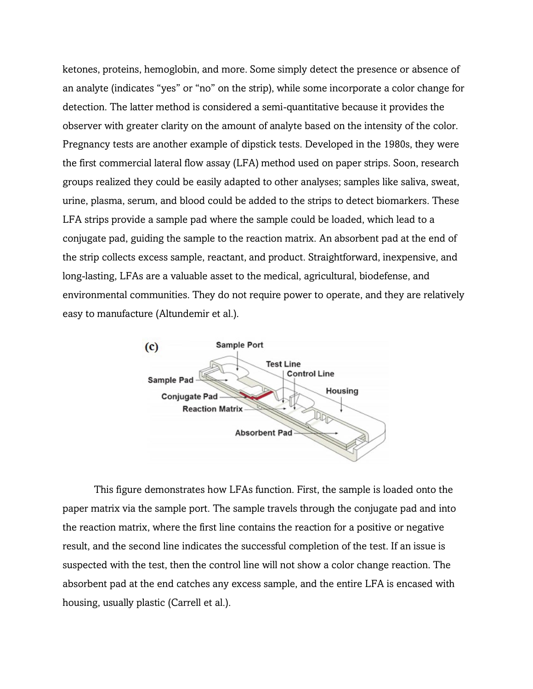ketones, proteins, hemoglobin, and more. Some simply detect the presence or absence of an analyte (indicates "yes" or "no" on the strip), while some incorporate a color change for detection. The latter method is considered a semi-quantitative because it provides the observer with greater clarity on the amount of analyte based on the intensity of the color. Pregnancy tests are another example of dipstick tests. Developed in the 1980s, they were the first commercial lateral flow assay (LFA) method used on paper strips. Soon, research groups realized they could be easily adapted to other analyses; samples like saliva, sweat, urine, plasma, serum, and blood could be added to the strips to detect biomarkers. These LFA strips provide a sample pad where the sample could be loaded, which lead to a conjugate pad, guiding the sample to the reaction matrix. An absorbent pad at the end of the strip collects excess sample, reactant, and product. Straightforward, inexpensive, and long-lasting, LFAs are a valuable asset to the medical, agricultural, biodefense, and environmental communities. They do not require power to operate, and they are relatively easy to manufacture (Altundemir et al.).



This figure demonstrates how LFAs function. First, the sample is loaded onto the paper matrix via the sample port. The sample travels through the conjugate pad and into the reaction matrix, where the first line contains the reaction for a positive or negative result, and the second line indicates the successful completion of the test. If an issue is suspected with the test, then the control line will not show a color change reaction. The absorbent pad at the end catches any excess sample, and the entire LFA is encased with housing, usually plastic (Carrell et al.).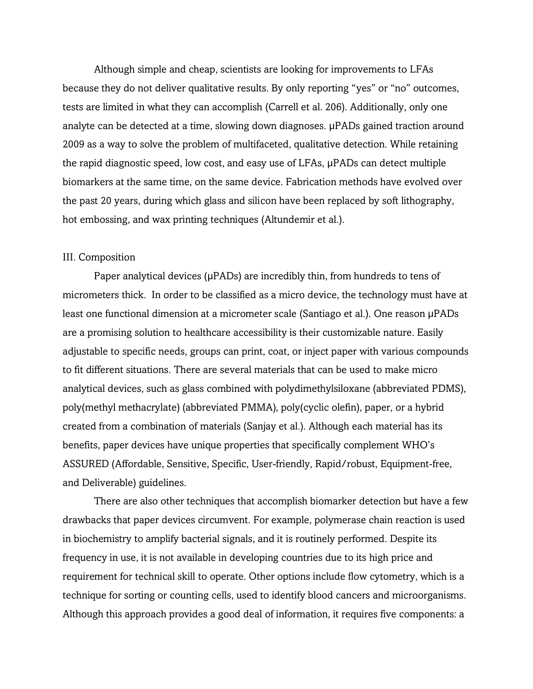Although simple and cheap, scientists are looking for improvements to LFAs because they do not deliver qualitative results. By only reporting "yes" or "no" outcomes, tests are limited in what they can accomplish (Carrell et al. 206). Additionally, only one analyte can be detected at a time, slowing down diagnoses. µPADs gained traction around 2009 as a way to solve the problem of multifaceted, qualitative detection. While retaining the rapid diagnostic speed, low cost, and easy use of LFAs, µPADs can detect multiple biomarkers at the same time, on the same device. Fabrication methods have evolved over the past 20 years, during which glass and silicon have been replaced by soft lithography, hot embossing, and wax printing techniques (Altundemir et al.).

#### III. Composition

Paper analytical devices (µPADs) are incredibly thin, from hundreds to tens of micrometers thick. In order to be classified as a micro device, the technology must have at least one functional dimension at a micrometer scale (Santiago et al.). One reason µPADs are a promising solution to healthcare accessibility is their customizable nature. Easily adjustable to specific needs, groups can print, coat, or inject paper with various compounds to fit different situations. There are several materials that can be used to make micro analytical devices, such as glass combined with polydimethylsiloxane (abbreviated PDMS), poly(methyl methacrylate) (abbreviated PMMA), poly(cyclic olefin), paper, or a hybrid created from a combination of materials (Sanjay et al.). Although each material has its benefits, paper devices have unique properties that specifically complement WHO's ASSURED (Affordable, Sensitive, Specific, User-friendly, Rapid/robust, Equipment-free, and Deliverable) guidelines.

There are also other techniques that accomplish biomarker detection but have a few drawbacks that paper devices circumvent. For example, polymerase chain reaction is used in biochemistry to amplify bacterial signals, and it is routinely performed. Despite its frequency in use, it is not available in developing countries due to its high price and requirement for technical skill to operate. Other options include flow cytometry, which is a technique for sorting or counting cells, used to identify blood cancers and microorganisms. Although this approach provides a good deal of information, it requires five components: a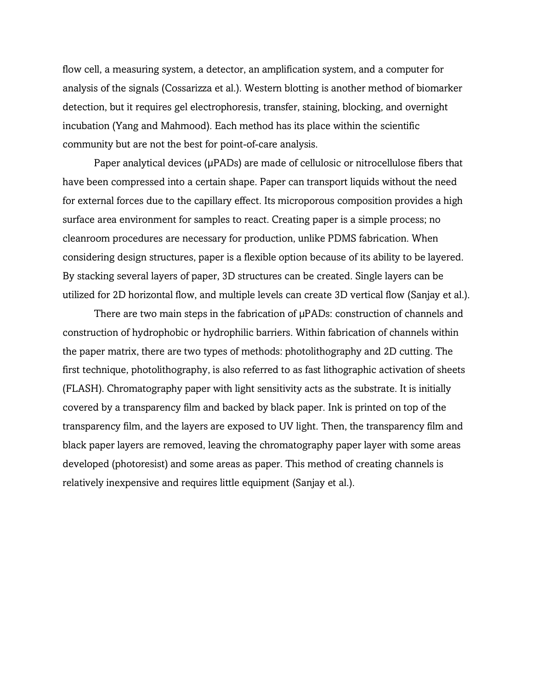flow cell, a measuring system, a detector, an amplification system, and a computer for analysis of the signals (Cossarizza et al.). Western blotting is another method of biomarker detection, but it requires gel electrophoresis, transfer, staining, blocking, and overnight incubation (Yang and Mahmood). Each method has its place within the scientific community but are not the best for point-of-care analysis.

Paper analytical devices (µPADs) are made of cellulosic or nitrocellulose fibers that have been compressed into a certain shape. Paper can transport liquids without the need for external forces due to the capillary effect. Its microporous composition provides a high surface area environment for samples to react. Creating paper is a simple process; no cleanroom procedures are necessary for production, unlike PDMS fabrication. When considering design structures, paper is a flexible option because of its ability to be layered. By stacking several layers of paper, 3D structures can be created. Single layers can be utilized for 2D horizontal flow, and multiple levels can create 3D vertical flow (Sanjay et al.).

There are two main steps in the fabrication of  $\mu$ PADs: construction of channels and construction of hydrophobic or hydrophilic barriers. Within fabrication of channels within the paper matrix, there are two types of methods: photolithography and 2D cutting. The first technique, photolithography, is also referred to as fast lithographic activation of sheets (FLASH). Chromatography paper with light sensitivity acts as the substrate. It is initially covered by a transparency film and backed by black paper. Ink is printed on top of the transparency film, and the layers are exposed to UV light. Then, the transparency film and black paper layers are removed, leaving the chromatography paper layer with some areas developed (photoresist) and some areas as paper. This method of creating channels is relatively inexpensive and requires little equipment (Sanjay et al.).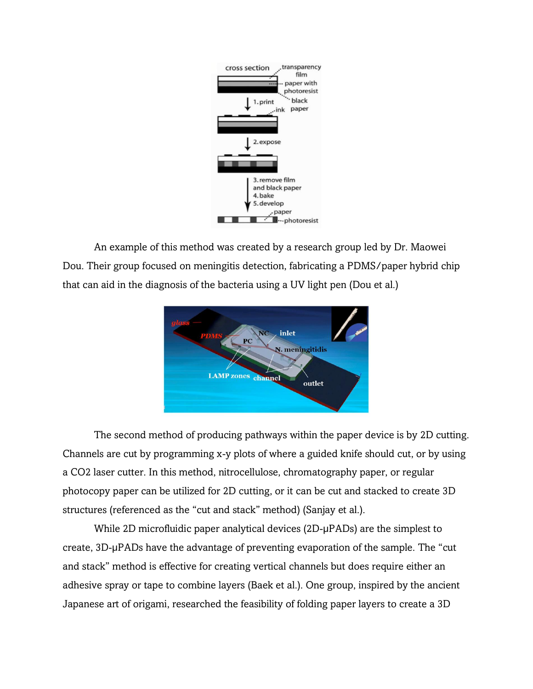

An example of this method was created by a research group led by Dr. Maowei Dou. Their group focused on meningitis detection, fabricating a PDMS/paper hybrid chip that can aid in the diagnosis of the bacteria using a UV light pen (Dou et al.)



The second method of producing pathways within the paper device is by 2D cutting. Channels are cut by programming x-y plots of where a guided knife should cut, or by using a CO2 laser cutter. In this method, nitrocellulose, chromatography paper, or regular photocopy paper can be utilized for 2D cutting, or it can be cut and stacked to create 3D structures (referenced as the "cut and stack" method) (Sanjay et al.).

While 2D microfluidic paper analytical devices (2D-µPADs) are the simplest to create, 3D-µPADs have the advantage of preventing evaporation of the sample. The "cut and stack" method is effective for creating vertical channels but does require either an adhesive spray or tape to combine layers (Baek et al.). One group, inspired by the ancient Japanese art of origami, researched the feasibility of folding paper layers to create a 3D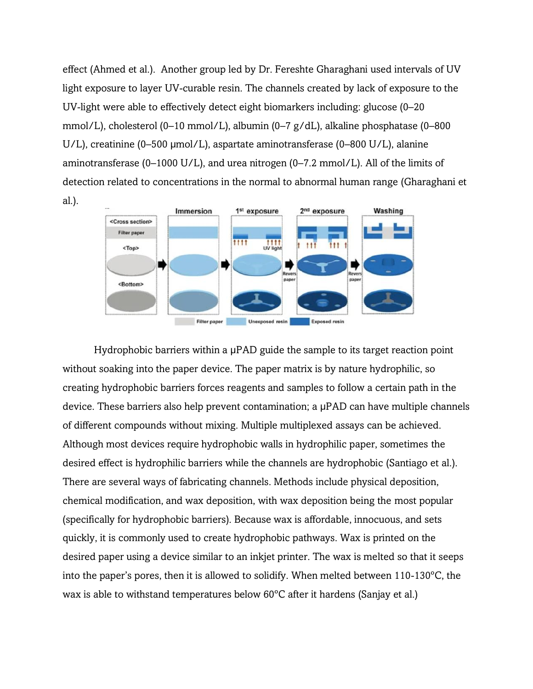effect (Ahmed et al.). Another group led by Dr. Fereshte Gharaghani used intervals of UV light exposure to layer UV-curable resin. The channels created by lack of exposure to the UV-light were able to effectively detect eight biomarkers including: glucose (0–20 mmol/L), cholesterol (0–10 mmol/L), albumin (0–7 g/dL), alkaline phosphatase (0–800 U/L), creatinine (0–500 µmol/L), aspartate aminotransferase (0–800 U/L), alanine aminotransferase (0–1000 U/L), and urea nitrogen (0–7.2 mmol/L). All of the limits of detection related to concentrations in the normal to abnormal human range (Gharaghani et al.).



Hydrophobic barriers within a µPAD guide the sample to its target reaction point without soaking into the paper device. The paper matrix is by nature hydrophilic, so creating hydrophobic barriers forces reagents and samples to follow a certain path in the device. These barriers also help prevent contamination; a µPAD can have multiple channels of different compounds without mixing. Multiple multiplexed assays can be achieved. Although most devices require hydrophobic walls in hydrophilic paper, sometimes the desired effect is hydrophilic barriers while the channels are hydrophobic (Santiago et al.). There are several ways of fabricating channels. Methods include physical deposition, chemical modification, and wax deposition, with wax deposition being the most popular (specifically for hydrophobic barriers). Because wax is affordable, innocuous, and sets quickly, it is commonly used to create hydrophobic pathways. Wax is printed on the desired paper using a device similar to an inkjet printer. The wax is melted so that it seeps into the paper's pores, then it is allowed to solidify. When melted between 110-130ºC, the wax is able to withstand temperatures below 60ºC after it hardens (Sanjay et al.)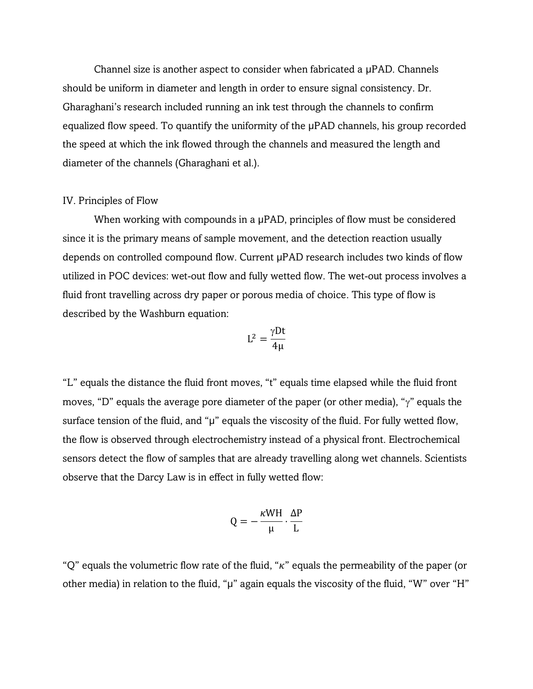Channel size is another aspect to consider when fabricated a µPAD. Channels should be uniform in diameter and length in order to ensure signal consistency. Dr. Gharaghani's research included running an ink test through the channels to confirm equalized flow speed. To quantify the uniformity of the µPAD channels, his group recorded the speed at which the ink flowed through the channels and measured the length and diameter of the channels (Gharaghani et al.).

#### IV. Principles of Flow

When working with compounds in a µPAD, principles of flow must be considered since it is the primary means of sample movement, and the detection reaction usually depends on controlled compound flow. Current µPAD research includes two kinds of flow utilized in POC devices: wet-out flow and fully wetted flow. The wet-out process involves a fluid front travelling across dry paper or porous media of choice. This type of flow is described by the Washburn equation:

$$
L^2=\frac{\gamma D t}{4\mu}
$$

"L" equals the distance the fluid front moves, "t" equals time elapsed while the fluid front moves, "D" equals the average pore diameter of the paper (or other media), " $\gamma$ " equals the surface tension of the fluid, and "µ" equals the viscosity of the fluid. For fully wetted flow, the flow is observed through electrochemistry instead of a physical front. Electrochemical sensors detect the flow of samples that are already travelling along wet channels. Scientists observe that the Darcy Law is in effect in fully wetted flow:

$$
Q = -\frac{\kappa WH}{\mu} \cdot \frac{\Delta P}{L}
$$

"Q" equals the volumetric flow rate of the fluid, " $\kappa$ " equals the permeability of the paper (or other media) in relation to the fluid, "µ" again equals the viscosity of the fluid, "W" over "H"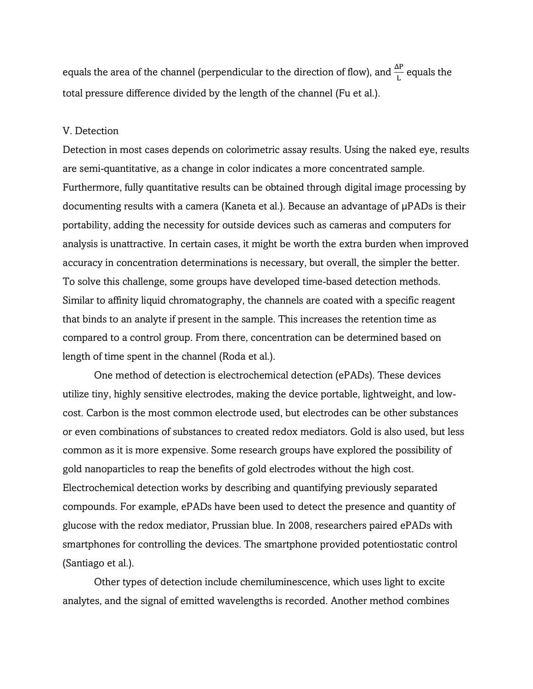equals the area of the channel (perpendicular to the direction of flow), and  $\frac{\Delta P}{L}$  equals the total pressure difference divided by the length of the channel (Fu et al.).

#### V. Detection

Detection in most cases depends on colorimetric assay results. Using the naked eye, results are semi-quantitative, as a change in color indicates a more concentrated sample. Furthermore, fully quantitative results can be obtained through digital image processing by documenting results with a camera (Kaneta et al.). Because an advantage of µPADs is their portability, adding the necessity for outside devices such as cameras and computers for analysis is unattractive. In certain cases, it might be worth the extra burden when improved accuracy in concentration determinations is necessary, but overall, the simpler the better. To solve this challenge, some groups have developed time-based detection methods. Similar to affinity liquid chromatography, the channels are coated with a specific reagent that binds to an analyte if present in the sample. This increases the retention time as compared to a control group. From there, concentration can be determined based on length of time spent in the channel (Roda et al.).

One method of detection is electrochemical detection (ePADs). These devices utilize tiny, highly sensitive electrodes, making the device portable, lightweight, and lowcost. Carbon is the most common electrode used, but electrodes can be other substances or even combinations of substances to created redox mediators. Gold is also used, but less common as it is more expensive. Some research groups have explored the possibility of gold nanoparticles to reap the benefits of gold electrodes without the high cost. Electrochemical detection works by describing and quantifying previously separated compounds. For example, ePADs have been used to detect the presence and quantity of glucose with the redox mediator, Prussian blue. In 2008, researchers paired ePADs with smartphones for controlling the devices. The smartphone provided potentiostatic control (Santiago et al.).

Other types of detection include chemiluminescence, which uses light to excite analytes, and the signal of emitted wavelengths is recorded. Another method combines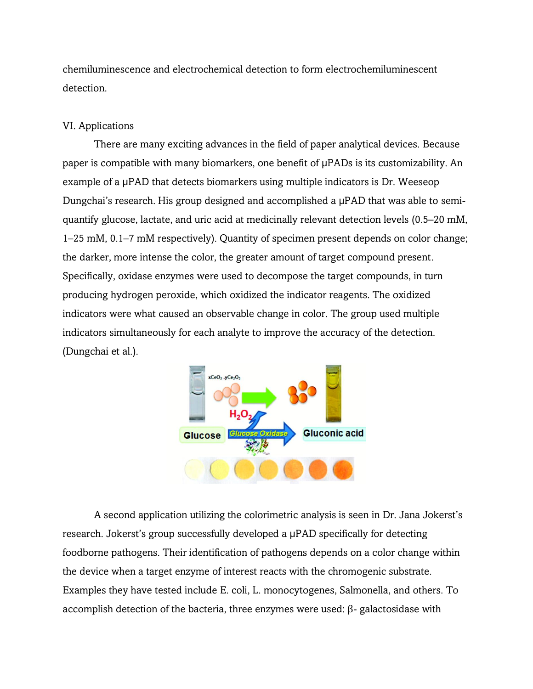chemiluminescence and electrochemical detection to form electrochemiluminescent detection.

## VI. Applications

There are many exciting advances in the field of paper analytical devices. Because paper is compatible with many biomarkers, one benefit of µPADs is its customizability. An example of a µPAD that detects biomarkers using multiple indicators is Dr. Weeseop Dungchai's research. His group designed and accomplished a µPAD that was able to semiquantify glucose, lactate, and uric acid at medicinally relevant detection levels (0.5–20 mM, 1–25 mM, 0.1–7 mM respectively). Quantity of specimen present depends on color change; the darker, more intense the color, the greater amount of target compound present. Specifically, oxidase enzymes were used to decompose the target compounds, in turn producing hydrogen peroxide, which oxidized the indicator reagents. The oxidized indicators were what caused an observable change in color. The group used multiple indicators simultaneously for each analyte to improve the accuracy of the detection. (Dungchai et al.).



A second application utilizing the colorimetric analysis is seen in Dr. Jana Jokerst's research. Jokerst's group successfully developed a µPAD specifically for detecting foodborne pathogens. Their identification of pathogens depends on a color change within the device when a target enzyme of interest reacts with the chromogenic substrate. Examples they have tested include E. coli, L. monocytogenes, Salmonella, and others. To accomplish detection of the bacteria, three enzymes were used: β- galactosidase with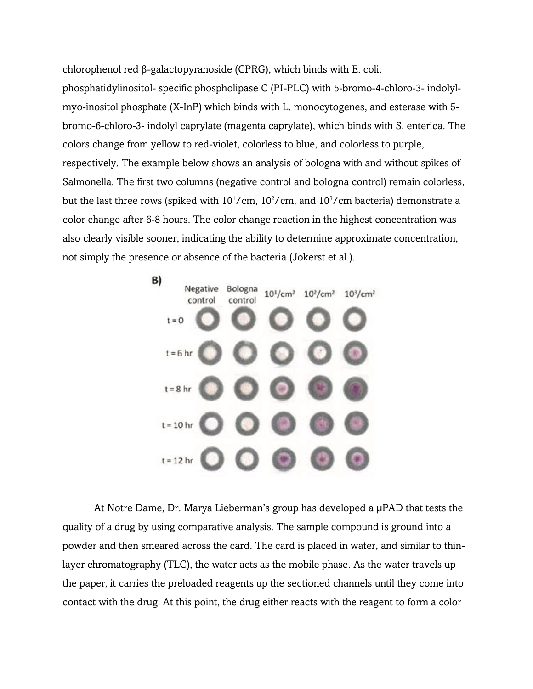chlorophenol red β-galactopyranoside (CPRG), which binds with E. coli,

phosphatidylinositol- specific phospholipase C (PI-PLC) with 5-bromo-4-chloro-3- indolylmyo-inositol phosphate (X-InP) which binds with L. monocytogenes, and esterase with 5 bromo-6-chloro-3- indolyl caprylate (magenta caprylate), which binds with S. enterica. The colors change from yellow to red-violet, colorless to blue, and colorless to purple, respectively. The example below shows an analysis of bologna with and without spikes of Salmonella. The first two columns (negative control and bologna control) remain colorless, but the last three rows (spiked with  $10^{1}/cm$ ,  $10^{2}/cm$ , and  $10^{3}/cm$  bacteria) demonstrate a color change after 6-8 hours. The color change reaction in the highest concentration was also clearly visible sooner, indicating the ability to determine approximate concentration, not simply the presence or absence of the bacteria (Jokerst et al.).



At Notre Dame, Dr. Marya Lieberman's group has developed a µPAD that tests the quality of a drug by using comparative analysis. The sample compound is ground into a powder and then smeared across the card. The card is placed in water, and similar to thinlayer chromatography (TLC), the water acts as the mobile phase. As the water travels up the paper, it carries the preloaded reagents up the sectioned channels until they come into contact with the drug. At this point, the drug either reacts with the reagent to form a color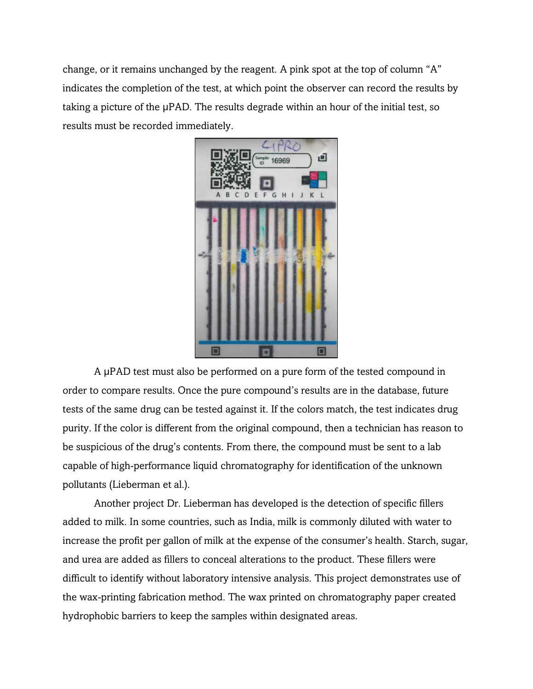change, or it remains unchanged by the reagent. A pink spot at the top of column "A" indicates the completion of the test, at which point the observer can record the results by taking a picture of the µPAD. The results degrade within an hour of the initial test, so results must be recorded immediately.



A µPAD test must also be performed on a pure form of the tested compound in order to compare results. Once the pure compound's results are in the database, future tests of the same drug can be tested against it. If the colors match, the test indicates drug purity. If the color is different from the original compound, then a technician has reason to be suspicious of the drug's contents. From there, the compound must be sent to a lab capable of high-performance liquid chromatography for identification of the unknown pollutants (Lieberman et al.).

Another project Dr. Lieberman has developed is the detection of specific fillers added to milk. In some countries, such as India, milk is commonly diluted with water to increase the profit per gallon of milk at the expense of the consumer's health. Starch, sugar, and urea are added as fillers to conceal alterations to the product. These fillers were difficult to identify without laboratory intensive analysis. This project demonstrates use of the wax-printing fabrication method. The wax printed on chromatography paper created hydrophobic barriers to keep the samples within designated areas.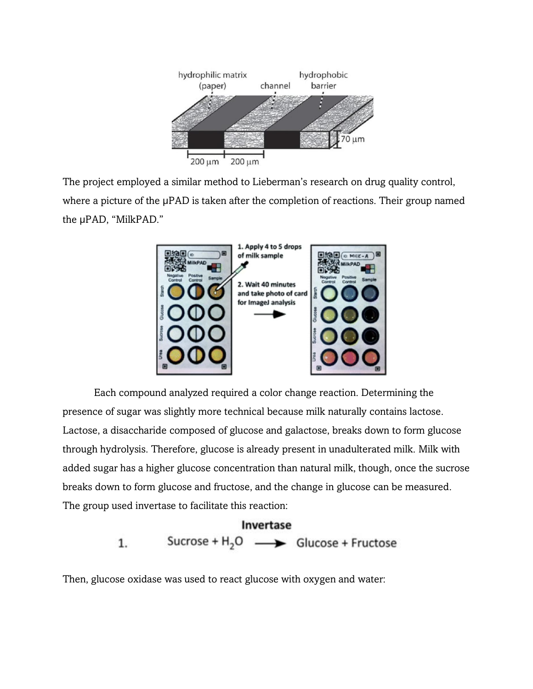

The project employed a similar method to Lieberman's research on drug quality control, where a picture of the µPAD is taken after the completion of reactions. Their group named the µPAD, "MilkPAD."



Each compound analyzed required a color change reaction. Determining the presence of sugar was slightly more technical because milk naturally contains lactose. Lactose, a disaccharide composed of glucose and galactose, breaks down to form glucose through hydrolysis. Therefore, glucose is already present in unadulterated milk. Milk with added sugar has a higher glucose concentration than natural milk, though, once the sucrose breaks down to form glucose and fructose, and the change in glucose can be measured. The group used invertase to facilitate this reaction:

# Invertase Sucrose +  $H_2O \longrightarrow$  Glucose + Fructose 1.

Then, glucose oxidase was used to react glucose with oxygen and water: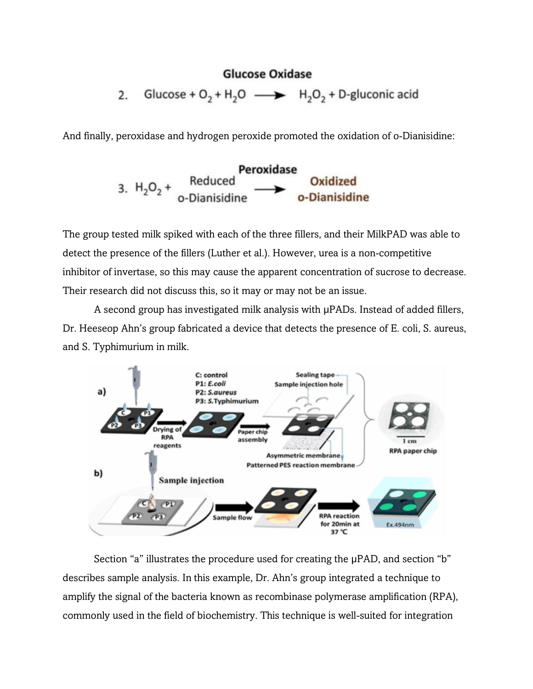# **Glucose Oxidase**

Glucose +  $O_2$  + H<sub>2</sub>O  $\longrightarrow$  H<sub>2</sub>O<sub>2</sub> + D-gluconic acid 2.

And finally, peroxidase and hydrogen peroxide promoted the oxidation of o-Dianisidine:



The group tested milk spiked with each of the three fillers, and their MilkPAD was able to detect the presence of the fillers (Luther et al.). However, urea is a non-competitive inhibitor of invertase, so this may cause the apparent concentration of sucrose to decrease. Their research did not discuss this, so it may or may not be an issue.

A second group has investigated milk analysis with µPADs. Instead of added fillers, Dr. Heeseop Ahn's group fabricated a device that detects the presence of E. coli, S. aureus, and S. Typhimurium in milk.



Section "a" illustrates the procedure used for creating the  $\mu$ PAD, and section "b" describes sample analysis. In this example, Dr. Ahn's group integrated a technique to amplify the signal of the bacteria known as recombinase polymerase amplification (RPA), commonly used in the field of biochemistry. This technique is well-suited for integration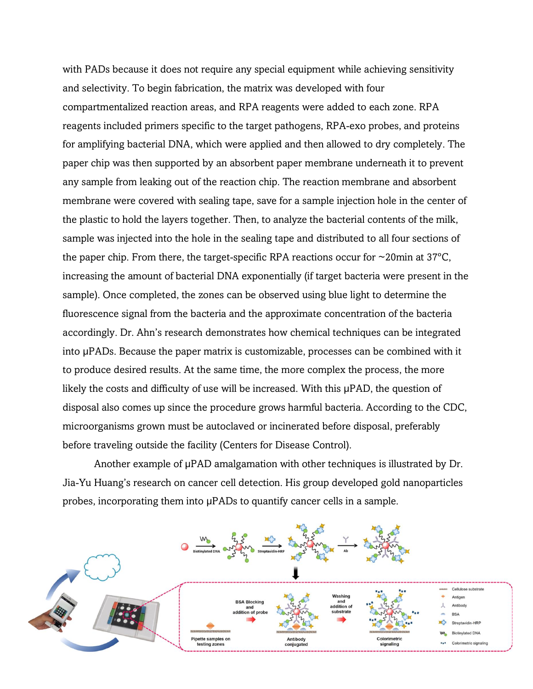with PADs because it does not require any special equipment while achieving sensitivity and selectivity. To begin fabrication, the matrix was developed with four compartmentalized reaction areas, and RPA reagents were added to each zone. RPA reagents included primers specific to the target pathogens, RPA-exo probes, and proteins for amplifying bacterial DNA, which were applied and then allowed to dry completely. The paper chip was then supported by an absorbent paper membrane underneath it to prevent any sample from leaking out of the reaction chip. The reaction membrane and absorbent membrane were covered with sealing tape, save for a sample injection hole in the center of the plastic to hold the layers together. Then, to analyze the bacterial contents of the milk, sample was injected into the hole in the sealing tape and distributed to all four sections of the paper chip. From there, the target-specific RPA reactions occur for  $\sim$ 20min at 37 $\degree$ C, increasing the amount of bacterial DNA exponentially (if target bacteria were present in the sample). Once completed, the zones can be observed using blue light to determine the fluorescence signal from the bacteria and the approximate concentration of the bacteria accordingly. Dr. Ahn's research demonstrates how chemical techniques can be integrated into µPADs. Because the paper matrix is customizable, processes can be combined with it to produce desired results. At the same time, the more complex the process, the more likely the costs and difficulty of use will be increased. With this µPAD, the question of disposal also comes up since the procedure grows harmful bacteria. According to the CDC, microorganisms grown must be autoclaved or incinerated before disposal, preferably before traveling outside the facility (Centers for Disease Control).

Another example of  $\mu$ PAD amalgamation with other techniques is illustrated by Dr. Jia-Yu Huang's research on cancer cell detection. His group developed gold nanoparticles probes, incorporating them into µPADs to quantify cancer cells in a sample.

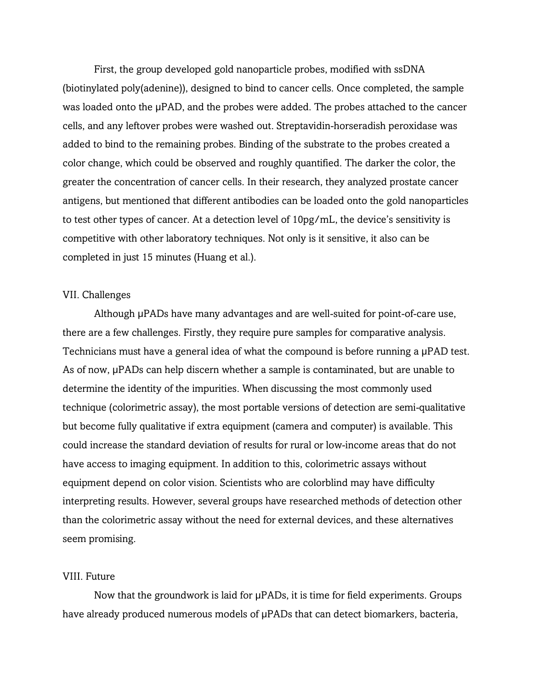First, the group developed gold nanoparticle probes, modified with ssDNA (biotinylated poly(adenine)), designed to bind to cancer cells. Once completed, the sample was loaded onto the µPAD, and the probes were added. The probes attached to the cancer cells, and any leftover probes were washed out. Streptavidin-horseradish peroxidase was added to bind to the remaining probes. Binding of the substrate to the probes created a color change, which could be observed and roughly quantified. The darker the color, the greater the concentration of cancer cells. In their research, they analyzed prostate cancer antigens, but mentioned that different antibodies can be loaded onto the gold nanoparticles to test other types of cancer. At a detection level of 10pg/mL, the device's sensitivity is competitive with other laboratory techniques. Not only is it sensitive, it also can be completed in just 15 minutes (Huang et al.).

#### VII. Challenges

Although µPADs have many advantages and are well-suited for point-of-care use, there are a few challenges. Firstly, they require pure samples for comparative analysis. Technicians must have a general idea of what the compound is before running a µPAD test. As of now,  $\mu$ PADs can help discern whether a sample is contaminated, but are unable to determine the identity of the impurities. When discussing the most commonly used technique (colorimetric assay), the most portable versions of detection are semi-qualitative but become fully qualitative if extra equipment (camera and computer) is available. This could increase the standard deviation of results for rural or low-income areas that do not have access to imaging equipment. In addition to this, colorimetric assays without equipment depend on color vision. Scientists who are colorblind may have difficulty interpreting results. However, several groups have researched methods of detection other than the colorimetric assay without the need for external devices, and these alternatives seem promising.

### VIII. Future

Now that the groundwork is laid for  $\mu$ PADs, it is time for field experiments. Groups have already produced numerous models of  $\mu$ PADs that can detect biomarkers, bacteria,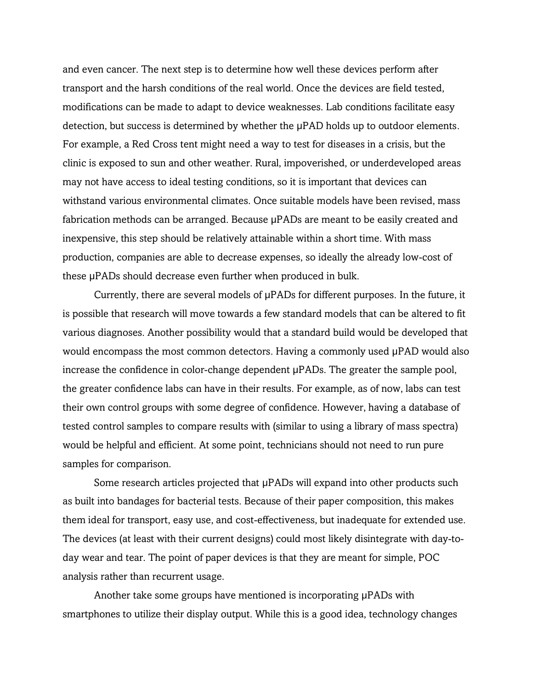and even cancer. The next step is to determine how well these devices perform after transport and the harsh conditions of the real world. Once the devices are field tested, modifications can be made to adapt to device weaknesses. Lab conditions facilitate easy detection, but success is determined by whether the µPAD holds up to outdoor elements. For example, a Red Cross tent might need a way to test for diseases in a crisis, but the clinic is exposed to sun and other weather. Rural, impoverished, or underdeveloped areas may not have access to ideal testing conditions, so it is important that devices can withstand various environmental climates. Once suitable models have been revised, mass fabrication methods can be arranged. Because µPADs are meant to be easily created and inexpensive, this step should be relatively attainable within a short time. With mass production, companies are able to decrease expenses, so ideally the already low-cost of these µPADs should decrease even further when produced in bulk.

Currently, there are several models of µPADs for different purposes. In the future, it is possible that research will move towards a few standard models that can be altered to fit various diagnoses. Another possibility would that a standard build would be developed that would encompass the most common detectors. Having a commonly used  $\mu$ PAD would also increase the confidence in color-change dependent µPADs. The greater the sample pool, the greater confidence labs can have in their results. For example, as of now, labs can test their own control groups with some degree of confidence. However, having a database of tested control samples to compare results with (similar to using a library of mass spectra) would be helpful and efficient. At some point, technicians should not need to run pure samples for comparison.

Some research articles projected that µPADs will expand into other products such as built into bandages for bacterial tests. Because of their paper composition, this makes them ideal for transport, easy use, and cost-effectiveness, but inadequate for extended use. The devices (at least with their current designs) could most likely disintegrate with day-today wear and tear. The point of paper devices is that they are meant for simple, POC analysis rather than recurrent usage.

Another take some groups have mentioned is incorporating µPADs with smartphones to utilize their display output. While this is a good idea, technology changes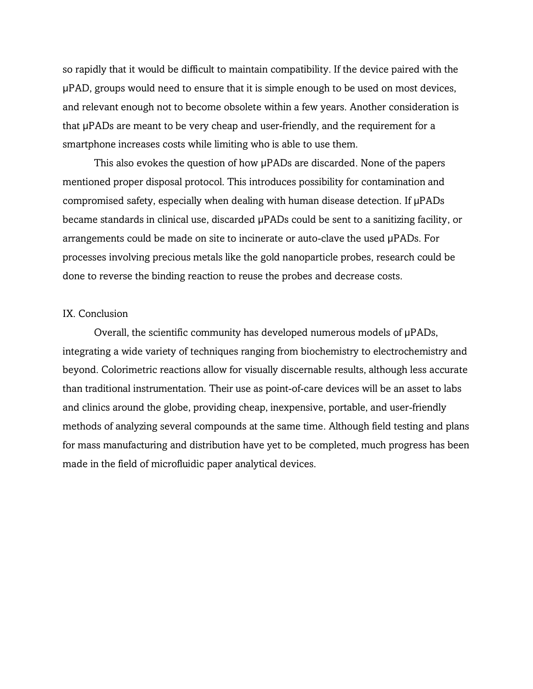so rapidly that it would be difficult to maintain compatibility. If the device paired with the µPAD, groups would need to ensure that it is simple enough to be used on most devices, and relevant enough not to become obsolete within a few years. Another consideration is that µPADs are meant to be very cheap and user-friendly, and the requirement for a smartphone increases costs while limiting who is able to use them.

This also evokes the question of how µPADs are discarded. None of the papers mentioned proper disposal protocol. This introduces possibility for contamination and compromised safety, especially when dealing with human disease detection. If µPADs became standards in clinical use, discarded  $\mu$ PADs could be sent to a sanitizing facility, or arrangements could be made on site to incinerate or auto-clave the used µPADs. For processes involving precious metals like the gold nanoparticle probes, research could be done to reverse the binding reaction to reuse the probes and decrease costs.

#### IX. Conclusion

Overall, the scientific community has developed numerous models of  $\mu$ PADs, integrating a wide variety of techniques ranging from biochemistry to electrochemistry and beyond. Colorimetric reactions allow for visually discernable results, although less accurate than traditional instrumentation. Their use as point-of-care devices will be an asset to labs and clinics around the globe, providing cheap, inexpensive, portable, and user-friendly methods of analyzing several compounds at the same time. Although field testing and plans for mass manufacturing and distribution have yet to be completed, much progress has been made in the field of microfluidic paper analytical devices.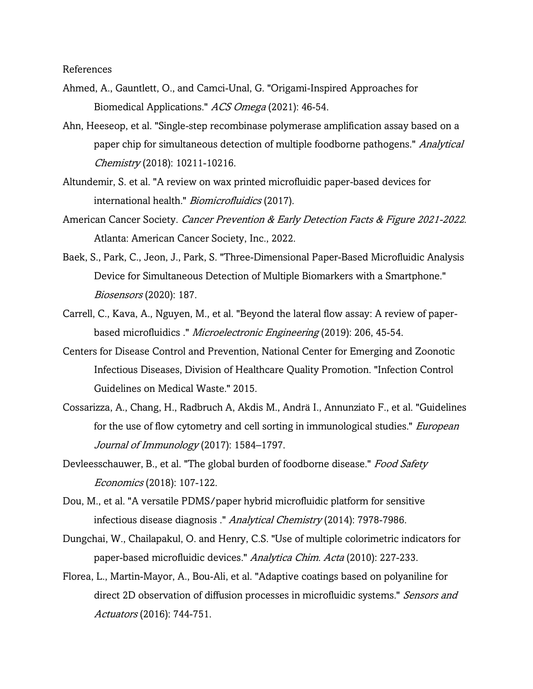References

- Ahmed, A., Gauntlett, O., and Camci-Unal, G. "Origami-Inspired Approaches for Biomedical Applications." ACS Omega (2021): 46-54.
- Ahn, Heeseop, et al. "Single-step recombinase polymerase amplification assay based on a paper chip for simultaneous detection of multiple foodborne pathogens." *Analytical* Chemistry (2018): 10211-10216.
- Altundemir, S. et al. "A review on wax printed microfluidic paper-based devices for international health." Biomicrofluidics (2017).
- American Cancer Society. Cancer Prevention & Early Detection Facts & Figure 2021-2022. Atlanta: American Cancer Society, Inc., 2022.
- Baek, S., Park, C., Jeon, J., Park, S. "Three-Dimensional Paper-Based Microfluidic Analysis Device for Simultaneous Detection of Multiple Biomarkers with a Smartphone." Biosensors (2020): 187.
- Carrell, C., Kava, A., Nguyen, M., et al. "Beyond the lateral flow assay: A review of paperbased microfluidics ." *Microelectronic Engineering* (2019): 206, 45-54.
- Centers for Disease Control and Prevention, National Center for Emerging and Zoonotic Infectious Diseases, Division of Healthcare Quality Promotion. "Infection Control Guidelines on Medical Waste." 2015.
- Cossarizza, A., Chang, H., Radbruch A, Akdis M., Andrä I., Annunziato F., et al. "Guidelines for the use of flow cytometry and cell sorting in immunological studies." *European* Journal of Immunology (2017): 1584-1797.
- Devleesschauwer, B., et al. "The global burden of foodborne disease." Food Safety Economics (2018): 107-122.
- Dou, M., et al. "A versatile PDMS/paper hybrid microfluidic platform for sensitive infectious disease diagnosis ." Analytical Chemistry (2014): 7978-7986.
- Dungchai, W., Chailapakul, O. and Henry, C.S. "Use of multiple colorimetric indicators for paper-based microfluidic devices." Analytica Chim. Acta (2010): 227-233.
- Florea, L., Martin-Mayor, A., Bou-Ali, et al. "Adaptive coatings based on polyaniline for direct 2D observation of diffusion processes in microfluidic systems." Sensors and Actuators (2016): 744-751.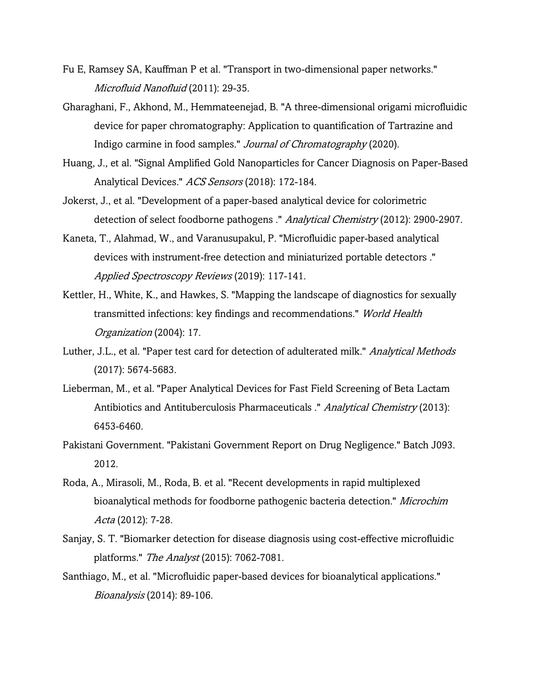- Fu E, Ramsey SA, Kauffman P et al. "Transport in two-dimensional paper networks." Microfluid Nanofluid (2011): 29-35.
- Gharaghani, F., Akhond, M., Hemmateenejad, B. "A three-dimensional origami microfluidic device for paper chromatography: Application to quantification of Tartrazine and Indigo carmine in food samples." Journal of Chromatography (2020).
- Huang, J., et al. "Signal Amplified Gold Nanoparticles for Cancer Diagnosis on Paper-Based Analytical Devices." ACS Sensors (2018): 172-184.
- Jokerst, J., et al. "Development of a paper-based analytical device for colorimetric detection of select foodborne pathogens ." Analytical Chemistry (2012): 2900-2907.
- Kaneta, T., Alahmad, W., and Varanusupakul, P. "Microfluidic paper-based analytical devices with instrument-free detection and miniaturized portable detectors ." Applied Spectroscopy Reviews (2019): 117-141.
- Kettler, H., White, K., and Hawkes, S. "Mapping the landscape of diagnostics for sexually transmitted infections: key findings and recommendations." World Health Organization (2004): 17.
- Luther, J.L., et al. "Paper test card for detection of adulterated milk." Analytical Methods (2017): 5674-5683.
- Lieberman, M., et al. "Paper Analytical Devices for Fast Field Screening of Beta Lactam Antibiotics and Antituberculosis Pharmaceuticals ." Analytical Chemistry (2013): 6453-6460.
- Pakistani Government. "Pakistani Government Report on Drug Negligence." Batch J093. 2012.
- Roda, A., Mirasoli, M., Roda, B. et al. "Recent developments in rapid multiplexed bioanalytical methods for foodborne pathogenic bacteria detection." Microchim Acta (2012): 7-28.
- Sanjay, S. T. "Biomarker detection for disease diagnosis using cost-effective microfluidic platforms." The Analyst (2015): 7062-7081.
- Santhiago, M., et al. "Microfluidic paper-based devices for bioanalytical applications." Bioanalysis (2014): 89-106.